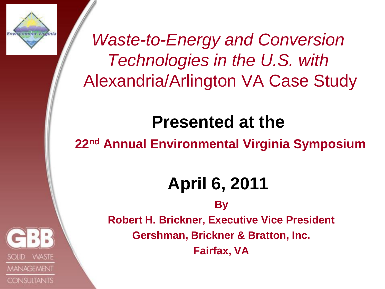

*Waste-to-Energy and Conversion Technologies in the U.S. with* Alexandria/Arlington VA Case Study

#### **Presented at the**

**22nd Annual Environmental Virginia Symposium**

#### **April 6, 2011**

**By** 

**WASTE MANAGEMENT CONSULTANTS**  **Robert H. Brickner, Executive Vice President Gershman, Brickner & Bratton, Inc. Fairfax, VA**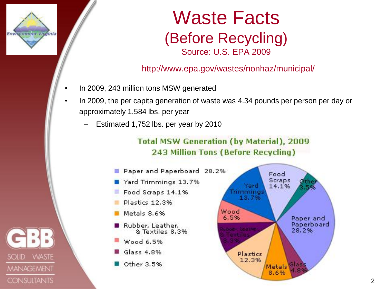

#### Waste Facts (Before Recycling) Source: U.S. EPA 2009

#### http://www.epa.gov/wastes/nonhaz/municipal/

- In 2009, 243 million tons MSW generated
- In 2009, the per capita generation of waste was 4.34 pounds per person per day or approximately 1,584 lbs. per year
	- Estimated 1,752 lbs. per year by 2010

#### **Total MSW Generation (by Material), 2009** 243 Million Tons (Before Recycling)



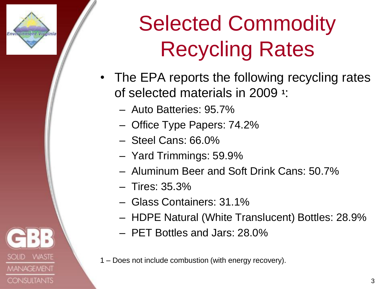

**WASTE** 

**MANAGEMENT** 

**CONSULTANTS** 

# Selected Commodity Recycling Rates

- The EPA reports the following recycling rates of selected materials in 2009 **<sup>1</sup>** :
	- Auto Batteries: 95.7%
	- Office Type Papers: 74.2%
	- Steel Cans: 66.0%
	- Yard Trimmings: 59.9%
	- Aluminum Beer and Soft Drink Cans: 50.7%
	- Tires: 35.3%
	- Glass Containers: 31.1%
	- HDPE Natural (White Translucent) Bottles: 28.9%
	- PET Bottles and Jars: 28.0%
- 1 Does not include combustion (with energy recovery).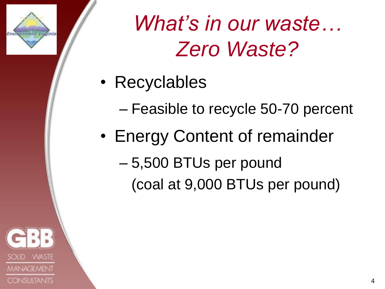

*What's in our waste… Zero Waste?*

- Recyclables
	- Feasible to recycle 50-70 percent
- Energy Content of remainder
	- 5,500 BTUs per pound
		- (coal at 9,000 BTUs per pound)

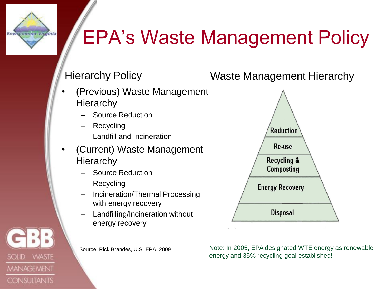Environment Virginia

**SOLID** 

**VVASTE** 

**MANAGEMENT** 

**CONSULTANTS** 

#### EPA's Waste Management Policy

- (Previous) Waste Management **Hierarchy** 
	- Source Reduction
	- **Recycling**
	- Landfill and Incineration
- (Current) Waste Management **Hierarchy** 
	- Source Reduction
	- **Recycling**
	- Incineration/Thermal Processing with energy recovery
	- Landfilling/Incineration without energy recovery





Note: In 2005, EPA designated WTE energy as renewable energy and 35% recycling goal established!

Source: Rick Brandes, U.S. EPA, 2009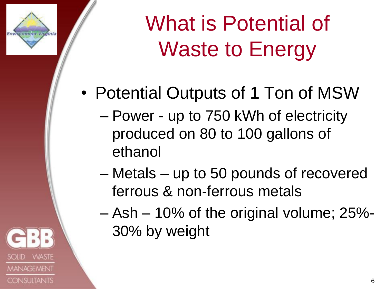

What is Potential of Waste to Energy

- Potential Outputs of 1 Ton of MSW
	- Power up to 750 kWh of electricity produced on 80 to 100 gallons of ethanol
	- Metals up to 50 pounds of recovered ferrous & non-ferrous metals
	- Ash 10% of the original volume; 25%- 30% by weight

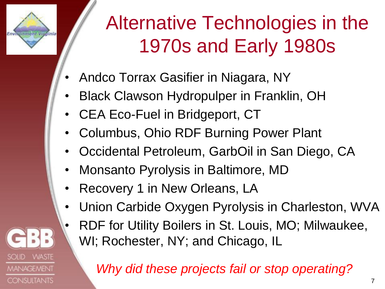

**WASTE** 

**MANAGEMENT** 

**CONSULTANTS** 

# Alternative Technologies in the 1970s and Early 1980s

- Andco Torrax Gasifier in Niagara, NY
- Black Clawson Hydropulper in Franklin, OH
- CEA Eco-Fuel in Bridgeport, CT
- Columbus, Ohio RDF Burning Power Plant
- Occidental Petroleum, GarbOil in San Diego, CA
- Monsanto Pyrolysis in Baltimore, MD
- Recovery 1 in New Orleans, LA
- Union Carbide Oxygen Pyrolysis in Charleston, WVA
- RDF for Utility Boilers in St. Louis, MO; Milwaukee, WI; Rochester, NY; and Chicago, IL

*Why did these projects fail or stop operating?*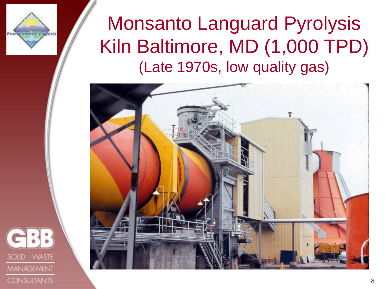

#### Monsanto Languard Pyrolysis Kiln Baltimore, MD (1,000 TPD) (Late 1970s, low quality gas)



**WASTE MANAGEMENT CONSULTANTS**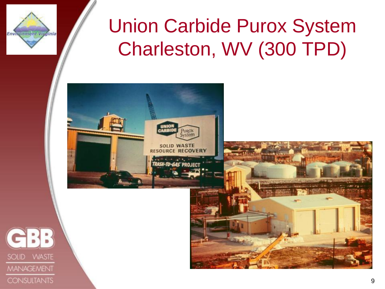

## Union Carbide Purox System Charleston, WV (300 TPD)

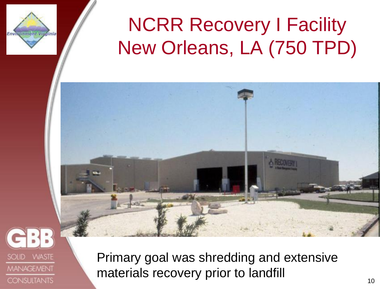

## **NCRR Recovery I Facility** New Orleans, LA (750 TPD)



**WASTE** SOLID **MANAGEMENT CONSULTANTS** 

Primary goal was shredding and extensive materials recovery prior to landfill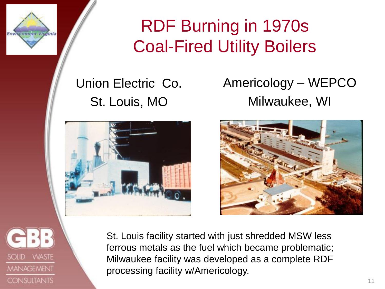

#### RDF Burning in 1970s Coal-Fired Utility Boilers

#### Union Electric Co. St. Louis, MO



#### Americology – WEPCO Milwaukee, WI





St. Louis facility started with just shredded MSW less ferrous metals as the fuel which became problematic; Milwaukee facility was developed as a complete RDF processing facility w/Americology.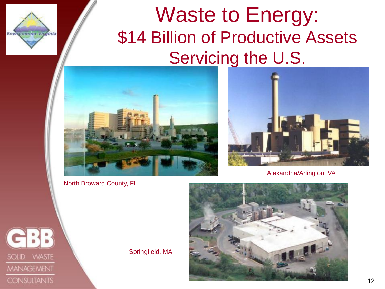







Alexandria/Arlington, VA



Environment Virginia

Springfield, MA

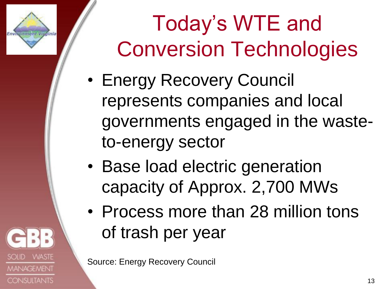# Today"s WTE and Conversion Technologies

- Energy Recovery Council represents companies and local governments engaged in the wasteto-energy sector
- Base load electric generation capacity of Approx. 2,700 MWs
- Process more than 28 million tons of trash per year

Source: Energy Recovery Council



Environment Vitalnia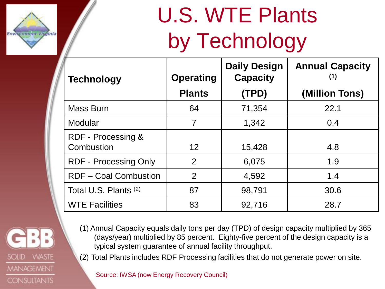

# U.S. WTE Plants by Technology

| <b>Technology</b>                | <b>Operating</b> | <b>Daily Design</b><br><b>Capacity</b> | <b>Annual Capacity</b><br>(1) |
|----------------------------------|------------------|----------------------------------------|-------------------------------|
|                                  | <b>Plants</b>    | (TPD)                                  | (Million Tons)                |
| <b>Mass Burn</b>                 | 64               | 71,354                                 | 22.1                          |
| Modular                          | $\overline{7}$   | 1,342                                  | 0.4                           |
| RDF - Processing &<br>Combustion | 12 <sup>2</sup>  | 15,428                                 | 4.8                           |
| <b>RDF - Processing Only</b>     | 2                | 6,075                                  | 1.9                           |
| <b>RDF-Coal Combustion</b>       | 2                | 4,592                                  | 1.4                           |
| Total U.S. Plants (2)            | 87               | 98,791                                 | 30.6                          |
| <b>WTE Facilities</b>            | 83               | 92,716                                 | 28.7                          |



- (1) Annual Capacity equals daily tons per day (TPD) of design capacity multiplied by 365 (days/year) multiplied by 85 percent. Eighty-five percent of the design capacity is a typical system guarantee of annual facility throughput.
- (2) Total Plants includes RDF Processing facilities that do not generate power on site.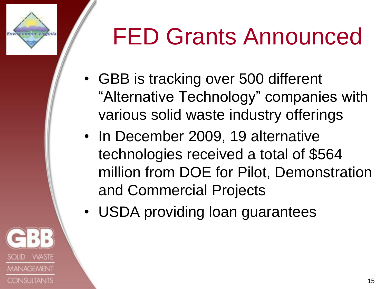# FED Grants Announced

- GBB is tracking over 500 different "Alternative Technology" companies with various solid waste industry offerings
- In December 2009, 19 alternative technologies received a total of \$564 million from DOE for Pilot, Demonstration and Commercial Projects
- USDA providing loan guarantees



Environment Vitalnia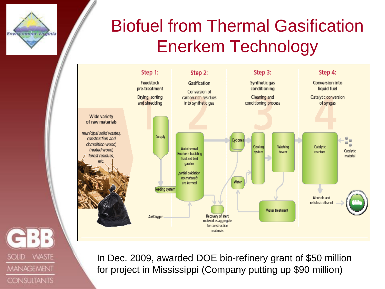

#### Biofuel from Thermal Gasification Enerkem Technology



**SOLID WASTE MANAGEMENT CONSULTANTS** 

In Dec. 2009, awarded DOE bio-refinery grant of \$50 million for project in Mississippi (Company putting up \$90 million)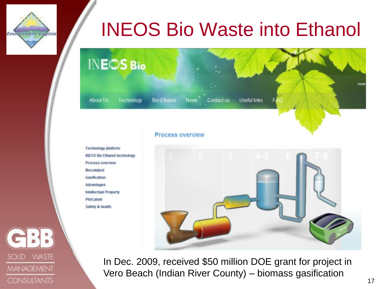#### INEOS Bio Waste into Ethanol



#### **Process overview**



In Dec. 2009, received \$50 million DOE grant for project in Vero Beach (Indian River County) – biomass gasification

**Technology platform INEOS Bio Ethanol technology** Process overview Biocatalyst Gasification Advantages **Intellectual Property** Pilot plant Safety & health

**VVASTE SOLID MANAGEMENT CONSULTANTS** 

Environment Vitalnia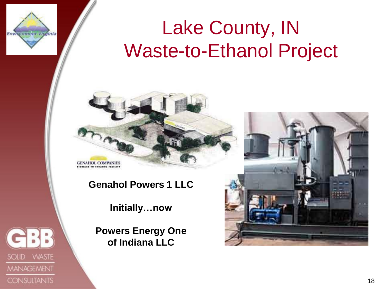

SOLID WASTE

**MANAGEMENT** 

**CONSULTANTS** 

### Lake County, IN Waste-to-Ethanol Project



**GENAHOL COMPANIES** 

**Genahol Powers 1 LLC**

**Initially…now**

**Powers Energy One of Indiana LLC**

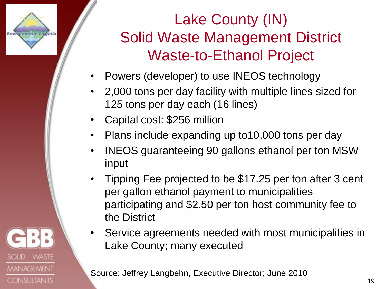

- Powers (developer) to use INEOS technology
- 2,000 tons per day facility with multiple lines sized for 125 tons per day each (16 lines)
- Capital cost: \$256 million
- Plans include expanding up to 10,000 tons per day
- INEOS guaranteeing 90 gallons ethanol per ton MSW input
- Tipping Fee projected to be \$17.25 per ton after 3 cent per gallon ethanol payment to municipalities participating and \$2.50 per ton host community fee to the District
- Service agreements needed with most municipalities in Lake County; many executed

Source: Jeffrey Langbehn, Executive Director; June 2010

19



Environment Vitalnia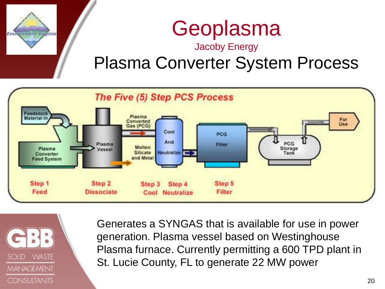

# Geoplasma

#### Jacoby Energy

#### Plasma Converter System Process





Generates a SYNGAS that is available for use in power generation. Plasma vessel based on Westinghouse Plasma furnace. Currently permitting a 600 TPD plant in St. Lucie County, FL to generate 22 MW power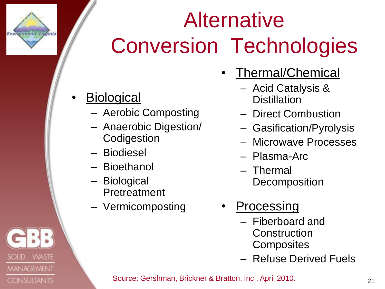# Alternative Conversion Technologies

**Biological** 

Environment Vitalnia

**VVASTE** 

**MANAGEMENT** 

**CONSULTANTS** 

**SOLID** 

- Aerobic Composting
- Anaerobic Digestion/ **Codigestion**
- Biodiesel
- Bioethanol
- Biological Pretreatment
- Vermicomposting
- Thermal/Chemical
	- Acid Catalysis & **Distillation**
	- Direct Combustion
	- Gasification/Pyrolysis
	- Microwave Processes
	- Plasma-Arc
	- Thermal **Decomposition**
- **Processing** 
	- Fiberboard and **Construction Composites**
	- Refuse Derived Fuels

Source: Gershman, Brickner & Bratton, Inc., April 2010.

21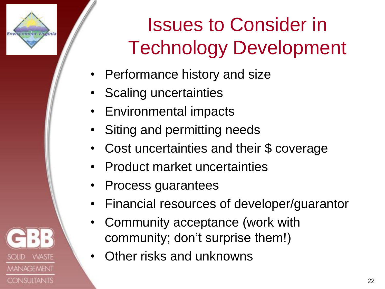# Issues to Consider in Technology Development

- Performance history and size
- Scaling uncertainties

Environment Vitalnia

**WASTE** 

**MANAGEMENT** 

**CONSULTANTS** 

- Environmental impacts
- Siting and permitting needs
- Cost uncertainties and their \$ coverage
- Product market uncertainties
- Process guarantees
- Financial resources of developer/guarantor
- Community acceptance (work with community; don't surprise them!)
- Other risks and unknowns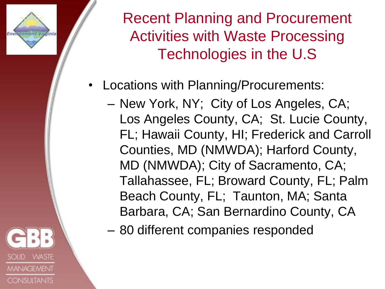Environment Vitalnia

Recent Planning and Procurement Activities with Waste Processing Technologies in the U.S

- Locations with Planning/Procurements:
	- New York, NY; City of Los Angeles, CA; Los Angeles County, CA; St. Lucie County, FL; Hawaii County, HI; Frederick and Carroll Counties, MD (NMWDA); Harford County, MD (NMWDA); City of Sacramento, CA; Tallahassee, FL; Broward County, FL; Palm Beach County, FL; Taunton, MA; Santa Barbara, CA; San Bernardino County, CA
	- 80 different companies responded

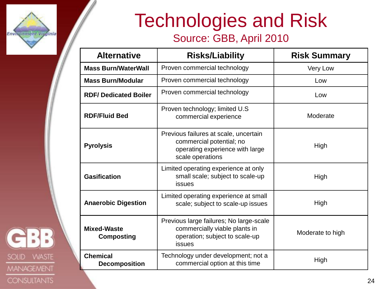

#### Technologies and Risk Source: GBB, April 2010

| <b>Alternative</b>                      | <b>Risks/Liability</b>                                                                                                   | <b>Risk Summary</b> |
|-----------------------------------------|--------------------------------------------------------------------------------------------------------------------------|---------------------|
| <b>Mass Burn/WaterWall</b>              | Proven commercial technology                                                                                             | Very Low            |
| <b>Mass Burn/Modular</b>                | Proven commercial technology                                                                                             | Low                 |
| <b>RDF/Dedicated Boiler</b>             | Proven commercial technology                                                                                             | Low                 |
| <b>RDF/Fluid Bed</b>                    | Proven technology; limited U.S.<br>commercial experience                                                                 | Moderate            |
| <b>Pyrolysis</b>                        | Previous failures at scale, uncertain<br>commercial potential; no<br>operating experience with large<br>scale operations | High                |
| <b>Gasification</b>                     | Limited operating experience at only<br>small scale; subject to scale-up<br>issues                                       | High                |
| <b>Anaerobic Digestion</b>              | Limited operating experience at small<br>scale; subject to scale-up issues                                               | High                |
| <b>Mixed-Waste</b><br><b>Composting</b> | Previous large failures; No large-scale<br>commercially viable plants in<br>operation; subject to scale-up<br>issues     |                     |
| <b>Chemical</b><br><b>Decomposition</b> | Technology under development; not a<br>commercial option at this time                                                    | High                |

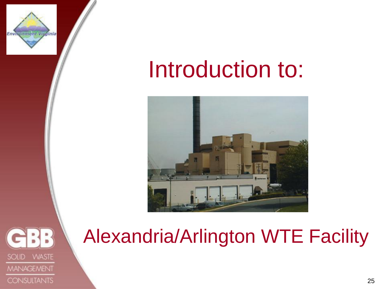

# Introduction to:





#### Alexandria/Arlington WTE Facility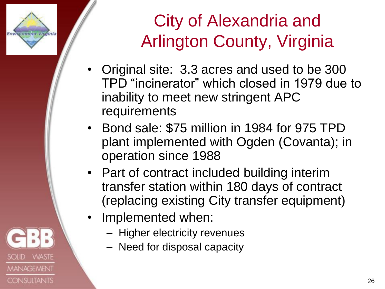

SOLID

**WASTE** 

**MANAGEMENT** 

**CONSULTANTS** 

#### City of Alexandria and Arlington County, Virginia

- Original site: 3.3 acres and used to be 300 TPD "incinerator" which closed in 1979 due to inability to meet new stringent APC requirements
- Bond sale: \$75 million in 1984 for 975 TPD plant implemented with Ogden (Covanta); in operation since 1988
- Part of contract included building interim transfer station within 180 days of contract (replacing existing City transfer equipment)
- Implemented when:
	- Higher electricity revenues
	- Need for disposal capacity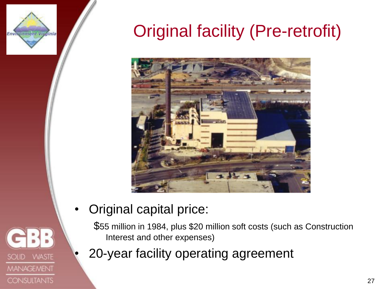

#### Original facility (Pre-retrofit)





• Original capital price:

\$55 million in 1984, plus \$20 million soft costs (such as Construction Interest and other expenses)

• 20-year facility operating agreement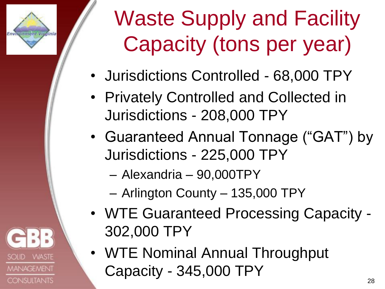

**WASTE** 

**MANAGEMENT** 

**CONSULTANTS** 

# Waste Supply and Facility Capacity (tons per year)

- Jurisdictions Controlled 68,000 TPY
- Privately Controlled and Collected in Jurisdictions - 208,000 TPY
- Guaranteed Annual Tonnage ("GAT") by Jurisdictions - 225,000 TPY
	- Alexandria 90,000TPY
	- Arlington County 135,000 TPY
- WTE Guaranteed Processing Capacity 302,000 TPY
- WTE Nominal Annual Throughput Capacity - 345,000 TPY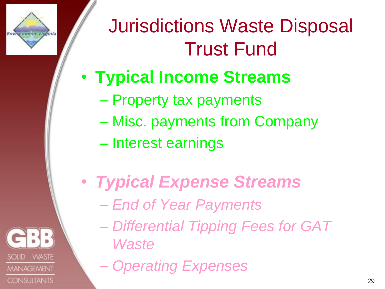

SOLID

**WASTE** 

**MANAGEMENT** 

**CONSULTANTS** 

## Jurisdictions Waste Disposal Trust Fund

#### • **Typical Income Streams**

- Property tax payments
- Misc. payments from Company
- Interest earnings
- *Typical Expense Streams*
	- *End of Year Payments*
	- *Differential Tipping Fees for GAT Waste*
	- *Operating Expenses*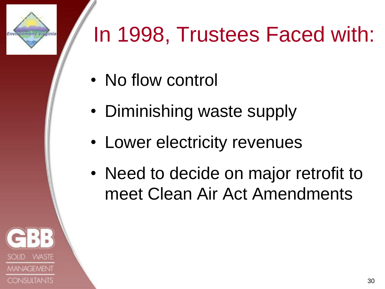# In 1998, Trustees Faced with:

- No flow control
- Diminishing waste supply
- Lower electricity revenues
- Need to decide on major retrofit to meet Clean Air Act Amendments



**Environment Vicelnia**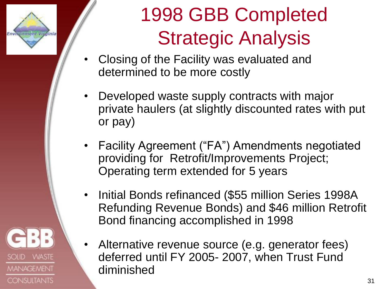

**WASTE** 

**MANAGEMENT** 

**CONSULTANTS** 

SOLID

## 1998 GBB Completed Strategic Analysis

- Closing of the Facility was evaluated and determined to be more costly
- Developed waste supply contracts with major private haulers (at slightly discounted rates with put or pay)
- Facility Agreement ("FA") Amendments negotiated providing for Retrofit/Improvements Project; Operating term extended for 5 years
- Initial Bonds refinanced (\$55 million Series 1998A Refunding Revenue Bonds) and \$46 million Retrofit Bond financing accomplished in 1998
- Alternative revenue source (e.g. generator fees) deferred until FY 2005- 2007, when Trust Fund diminished

31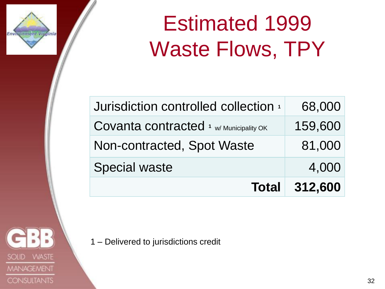

# Estimated 1999 Waste Flows, TPY

| Jurisdiction controlled collection +                | 68,000               |
|-----------------------------------------------------|----------------------|
| Covanta contracted $\frac{1}{1}$ w/ Municipality OK | 159,600              |
| Non-contracted, Spot Waste                          | 81,000               |
| <b>Special waste</b>                                | 4,000                |
|                                                     | <b>Total 312,600</b> |

**WASTE SOLID MANAGEMENT CONSULTANTS** 

1 – Delivered to jurisdictions credit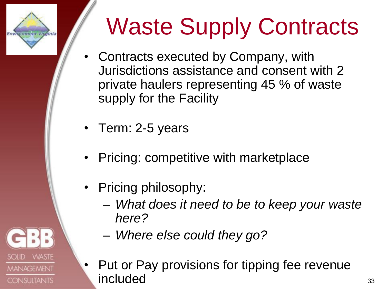# Environment Virginia

**WASTE** 

**MANAGEMENT** 

**CONSULTANTS** 

SOLID

# Waste Supply Contracts

- Contracts executed by Company, with Jurisdictions assistance and consent with 2 private haulers representing 45 % of waste supply for the Facility
- Term: 2-5 years
- Pricing: competitive with marketplace
- Pricing philosophy:
	- *What does it need to be to keep your waste here?*
	- *Where else could they go?*
- Put or Pay provisions for tipping fee revenue included 33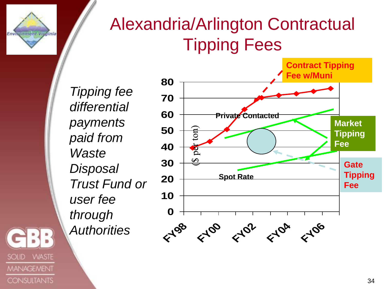

ł.

**VVASTE** 

**MANAGEMENT** 

**CONSULTANTS** 

**SOLID** 

#### Alexandria/Arlington Contractual Tipping Fees

*Tipping fee differential payments paid from Waste Disposal Trust Fund or user fee through Authorities*

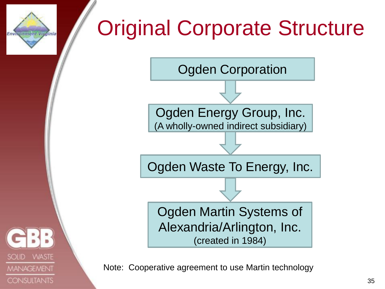# Original Corporate Structure





Environment Vitalnia

Note: Cooperative agreement to use Martin technology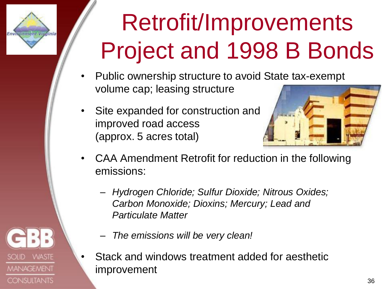# Environment Vicefnia

**VVASTE** 

**MANAGEMENT** 

**CONSULTANTS** 

**SOLID** 

# Retrofit/Improvements Project and 1998 B Bonds

- Public ownership structure to avoid State tax-exempt volume cap; leasing structure
- Site expanded for construction and improved road access (approx. 5 acres total)



- CAA Amendment Retrofit for reduction in the following emissions:
	- *Hydrogen Chloride; Sulfur Dioxide; Nitrous Oxides; Carbon Monoxide; Dioxins; Mercury; Lead and Particulate Matter*
	- *The emissions will be very clean!*
	- Stack and windows treatment added for aesthetic improvement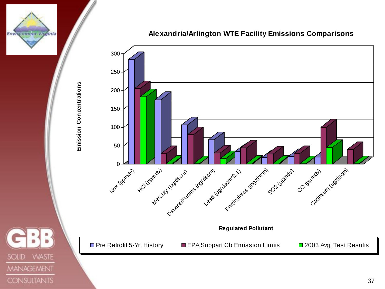

**WASTE** 

**MANAGEMENT** 

**CONSULTANTS** 

**SOLID** 

**Alexandria/Arlington WTE Facility Emissions Comparisons**



37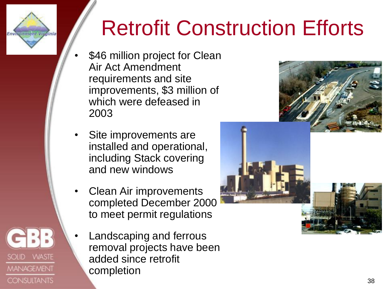# Retrofit Construction Efforts

\$46 million project for Clean Air Act Amendment requirements and site improvements, \$3 million of which were defeased in 2003

Environment Vicefnia

SOLID WASTE

**MANAGEMENT** 

**CONSULTANTS** 

- Site improvements are installed and operational, including Stack covering and new windows
- Clean Air improvements completed December 2000 to meet permit regulations
	- Landscaping and ferrous removal projects have been added since retrofit completion



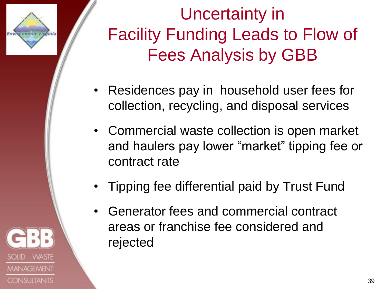

Environment Vitalnia

#### Uncertainty in Facility Funding Leads to Flow of Fees Analysis by GBB

- Residences pay in household user fees for collection, recycling, and disposal services
- Commercial waste collection is open market and haulers pay lower "market" tipping fee or contract rate
- Tipping fee differential paid by Trust Fund
- Generator fees and commercial contract areas or franchise fee considered and rejected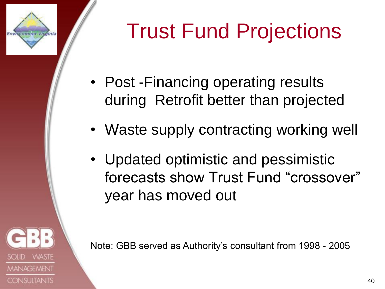# Trust Fund Projections

• Post - Financing operating results during Retrofit better than projected

Environment Vitalnia

**VVASTE** 

**MANAGEMENT** 

**CONSULTANTS** 

- Waste supply contracting working well
- Updated optimistic and pessimistic forecasts show Trust Fund "crossover" year has moved out

Note: GBB served as Authority"s consultant from 1998 - 2005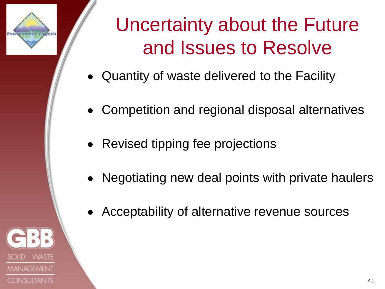

## Uncertainty about the Future and Issues to Resolve

- Quantity of waste delivered to the Facility
- Competition and regional disposal alternatives
- Revised tipping fee projections
- Negotiating new deal points with private haulers
- Acceptability of alternative revenue sources

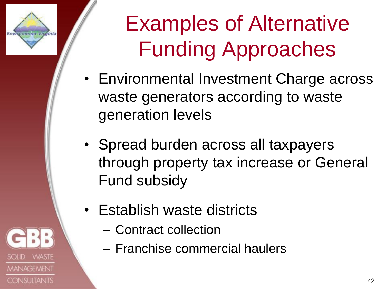

# Examples of Alternative Funding Approaches

- Environmental Investment Charge across waste generators according to waste generation levels
- Spread burden across all taxpayers through property tax increase or General Fund subsidy
- Establish waste districts
	- Contract collection
	- Franchise commercial haulers

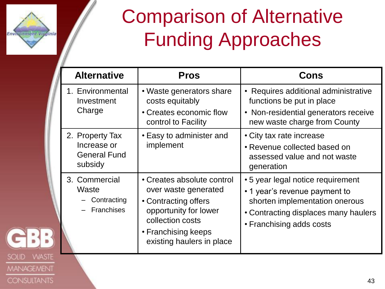

**WASTE** 

**MANAGEMENT** 

**CONSULTANTS** 

SOLID

## Comparison of Alternative Funding Approaches

| <b>Alternative</b>                                               | <b>Pros</b>                                                                                                                                                                 | <b>Cons</b>                                                                                                                                                              |
|------------------------------------------------------------------|-----------------------------------------------------------------------------------------------------------------------------------------------------------------------------|--------------------------------------------------------------------------------------------------------------------------------------------------------------------------|
| 1. Environmental<br>Investment<br>Charge                         | • Waste generators share<br>costs equitably<br>• Creates economic flow<br>control to Facility                                                                               | • Requires additional administrative<br>functions be put in place<br>• Non-residential generators receive<br>new waste charge from County                                |
| 2. Property Tax<br>Increase or<br><b>General Fund</b><br>subsidy | • Easy to administer and<br>implement                                                                                                                                       | • City tax rate increase<br>• Revenue collected based on<br>assessed value and not waste<br>generation                                                                   |
| 3. Commercial<br>Waste<br>Contracting<br><b>Franchises</b>       | • Creates absolute control<br>over waste generated<br>• Contracting offers<br>opportunity for lower<br>collection costs<br>• Franchising keeps<br>existing haulers in place | • 5 year legal notice requirement<br>• 1 year's revenue payment to<br>shorten implementation onerous<br>• Contracting displaces many haulers<br>• Franchising adds costs |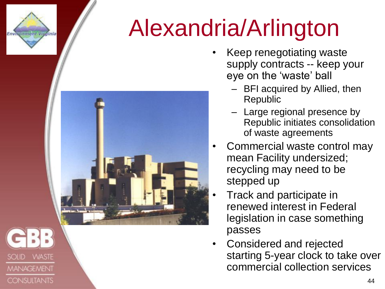

**SOLID** 

**WASTE** 

**MANAGEMENT** 

**CONSULTANTS** 

# Alexandria/Arlington



- Keep renegotiating waste supply contracts -- keep your eye on the 'waste' ball
	- BFI acquired by Allied, then Republic
	- Large regional presence by Republic initiates consolidation of waste agreements
- Commercial waste control may mean Facility undersized; recycling may need to be stepped up
- Track and participate in renewed interest in Federal legislation in case something passes
- Considered and rejected starting 5-year clock to take over commercial collection services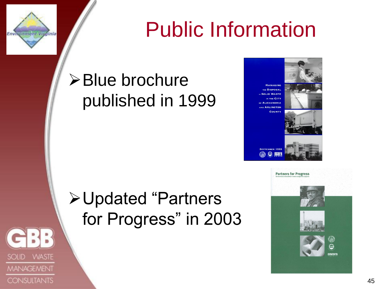

**SOLID** 

**WASTE** 

**MANAGEMENT** 

**CONSULTANTS** 

## Public Information

#### **≻Blue brochure** published in 1999





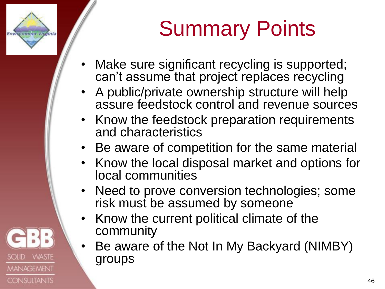# Summary Points

Make sure significant recycling is supported; can"t assume that project replaces recycling

Environment Vitalnia

**WASTE** 

**MANAGEMENT** 

**CONSULTANTS** 

- A public/private ownership structure will help assure feedstock control and revenue sources
- Know the feedstock preparation requirements and characteristics
- Be aware of competition for the same material
- Know the local disposal market and options for local communities
- Need to prove conversion technologies; some risk must be assumed by someone
- Know the current political climate of the community
- Be aware of the Not In My Backyard (NIMBY) groups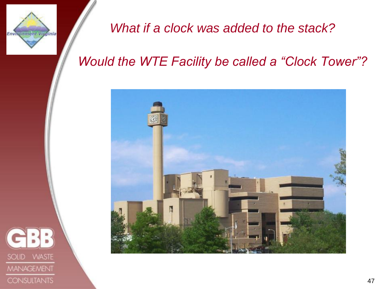

*What if a clock was added to the stack?* 

#### *Would the WTE Facility be called a "Clock Tower"?*